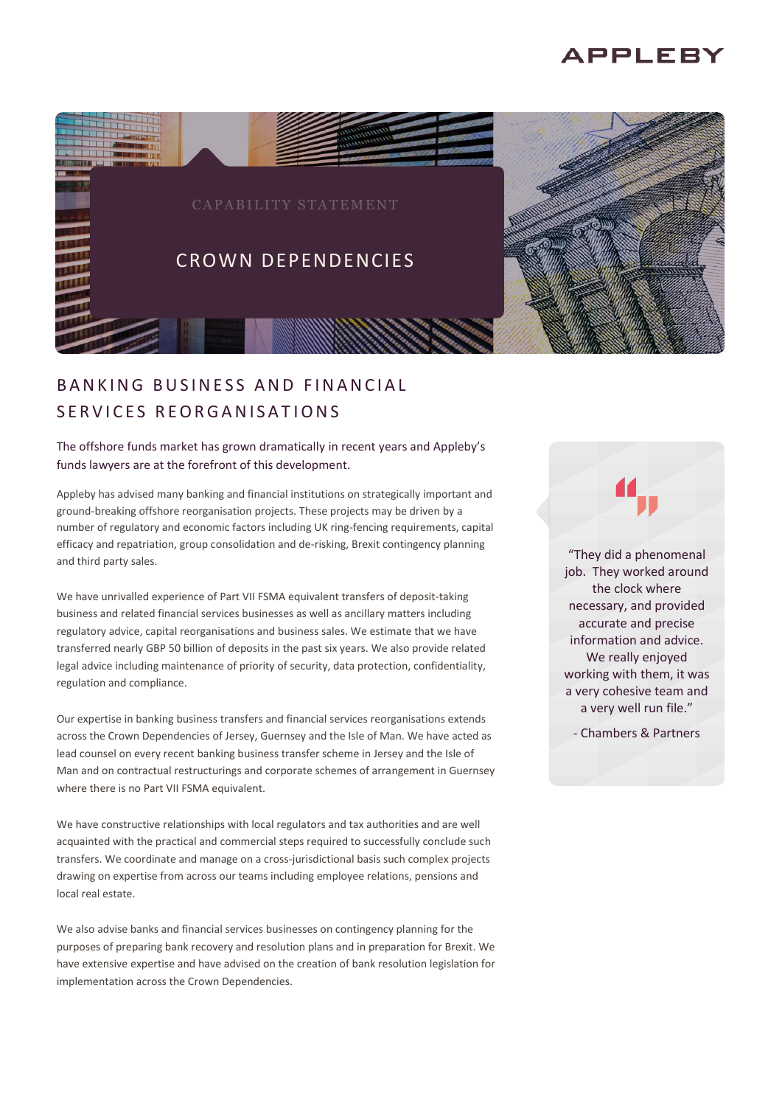# **APPLEBY**



# B A N K I N G B U S I N F S S A N D F I N A N C I A L S F R V I C E S R E O R G A N I S A T I O N S

## The offshore funds market has grown dramatically in recent years and Appleby's funds lawyers are at the forefront of this development.

Appleby has advised many banking and financial institutions on strategically important and ground-breaking offshore reorganisation projects. These projects may be driven by a number of regulatory and economic factors including UK ring-fencing requirements, capital efficacy and repatriation, group consolidation and de-risking, Brexit contingency planning and third party sales.

We have unrivalled experience of Part VII FSMA equivalent transfers of deposit-taking business and related financial services businesses as well as ancillary matters including regulatory advice, capital reorganisations and business sales. We estimate that we have transferred nearly GBP 50 billion of deposits in the past six years. We also provide related legal advice including maintenance of priority of security, data protection, confidentiality, regulation and compliance.

Our expertise in banking business transfers and financial services reorganisations extends across the Crown Dependencies of Jersey, Guernsey and the Isle of Man. We have acted as lead counsel on every recent banking business transfer scheme in Jersey and the Isle of Man and on contractual restructurings and corporate schemes of arrangement in Guernsey where there is no Part VII FSMA equivalent.

We have constructive relationships with local regulators and tax authorities and are well acquainted with the practical and commercial steps required to successfully conclude such transfers. We coordinate and manage on a cross-jurisdictional basis such complex projects drawing on expertise from across our teams including employee relations, pensions and local real estate.

We also advise banks and financial services businesses on contingency planning for the purposes of preparing bank recovery and resolution plans and in preparation for Brexit. We have extensive expertise and have advised on the creation of bank resolution legislation for implementation across the Crown Dependencies.

"They did a phenomenal job. They worked around the clock where necessary, and provided accurate and precise information and advice. We really enjoyed working with them, it was a very cohesive team and a very well run file."

- Chambers & Partners